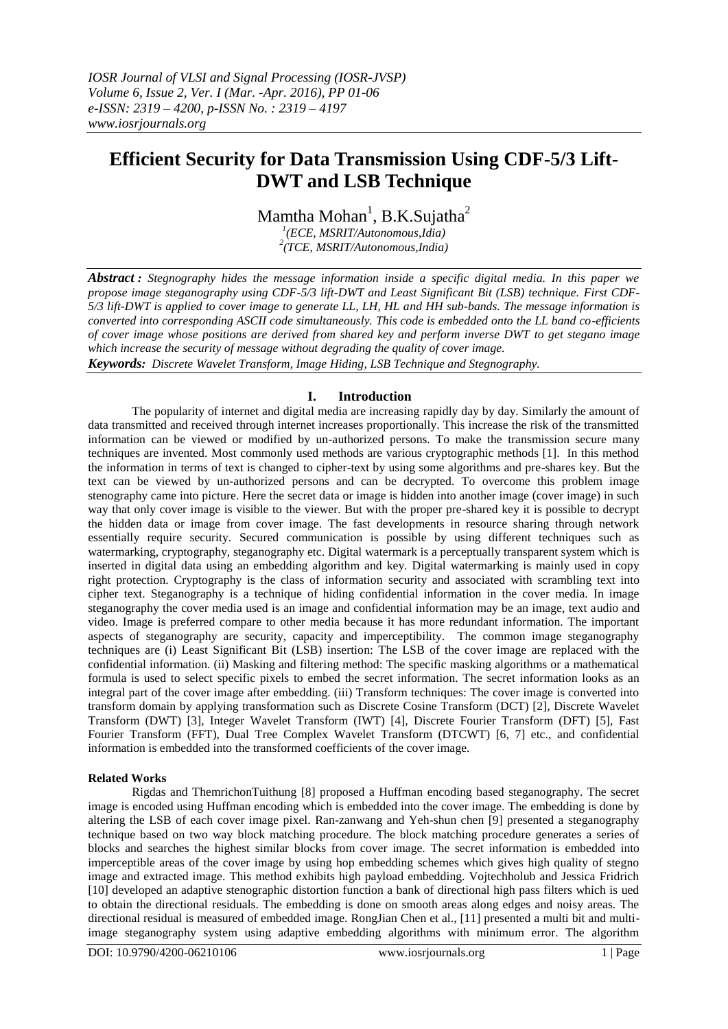# **Efficient Security for Data Transmission Using CDF-5/3 Lift-DWT and LSB Technique**

Mamtha Mohan<sup>1</sup>, B.K.Sujatha<sup>2</sup>

*1 (ECE, MSRIT/Autonomous,Idia) 2 (TCE, MSRIT/Autonomous,India)*

*Abstract : Stegnography hides the message information inside a specific digital media. In this paper we propose image steganography using CDF-5/3 lift-DWT and Least Significant Bit (LSB) technique. First CDF-5/3 lift-DWT is applied to cover image to generate LL, LH, HL and HH sub-bands. The message information is converted into corresponding ASCII code simultaneously. This code is embedded onto the LL band co-efficients of cover image whose positions are derived from shared key and perform inverse DWT to get stegano image which increase the security of message without degrading the quality of cover image. Keywords: Discrete Wavelet Transform, Image Hiding, LSB Technique and Stegnography.*

# **I. Introduction**

The popularity of internet and digital media are increasing rapidly day by day. Similarly the amount of data transmitted and received through internet increases proportionally. This increase the risk of the transmitted information can be viewed or modified by un-authorized persons. To make the transmission secure many techniques are invented. Most commonly used methods are various cryptographic methods [1]. In this method the information in terms of text is changed to cipher-text by using some algorithms and pre-shares key. But the text can be viewed by un-authorized persons and can be decrypted. To overcome this problem image stenography came into picture. Here the secret data or image is hidden into another image (cover image) in such way that only cover image is visible to the viewer. But with the proper pre-shared key it is possible to decrypt the hidden data or image from cover image. The fast developments in resource sharing through network essentially require security. Secured communication is possible by using different techniques such as watermarking, cryptography, steganography etc. Digital watermark is a perceptually transparent system which is inserted in digital data using an embedding algorithm and key. Digital watermarking is mainly used in copy right protection. Cryptography is the class of information security and associated with scrambling text into cipher text. Steganography is a technique of hiding confidential information in the cover media. In image steganography the cover media used is an image and confidential information may be an image, text audio and video. Image is preferred compare to other media because it has more redundant information. The important aspects of steganography are security, capacity and imperceptibility. The common image steganography techniques are (i) Least Significant Bit (LSB) insertion: The LSB of the cover image are replaced with the confidential information. (ii) Masking and filtering method: The specific masking algorithms or a mathematical formula is used to select specific pixels to embed the secret information. The secret information looks as an integral part of the cover image after embedding. (iii) Transform techniques: The cover image is converted into transform domain by applying transformation such as Discrete Cosine Transform (DCT) [2], Discrete Wavelet Transform (DWT) [3], Integer Wavelet Transform (IWT) [4], Discrete Fourier Transform (DFT) [5], Fast Fourier Transform (FFT), Dual Tree Complex Wavelet Transform (DTCWT) [6, 7] etc., and confidential information is embedded into the transformed coefficients of the cover image.

# **Related Works**

Rigdas and ThemrichonTuithung [8] proposed a Huffman encoding based steganography. The secret image is encoded using Huffman encoding which is embedded into the cover image. The embedding is done by altering the LSB of each cover image pixel. Ran-zanwang and Yeh-shun chen [9] presented a steganography technique based on two way block matching procedure. The block matching procedure generates a series of blocks and searches the highest similar blocks from cover image. The secret information is embedded into imperceptible areas of the cover image by using hop embedding schemes which gives high quality of stegno image and extracted image. This method exhibits high payload embedding. Vojtechholub and Jessica Fridrich [10] developed an adaptive stenographic distortion function a bank of directional high pass filters which is ued to obtain the directional residuals. The embedding is done on smooth areas along edges and noisy areas. The directional residual is measured of embedded image. RongJian Chen et al., [11] presented a multi bit and multiimage steganography system using adaptive embedding algorithms with minimum error. The algorithm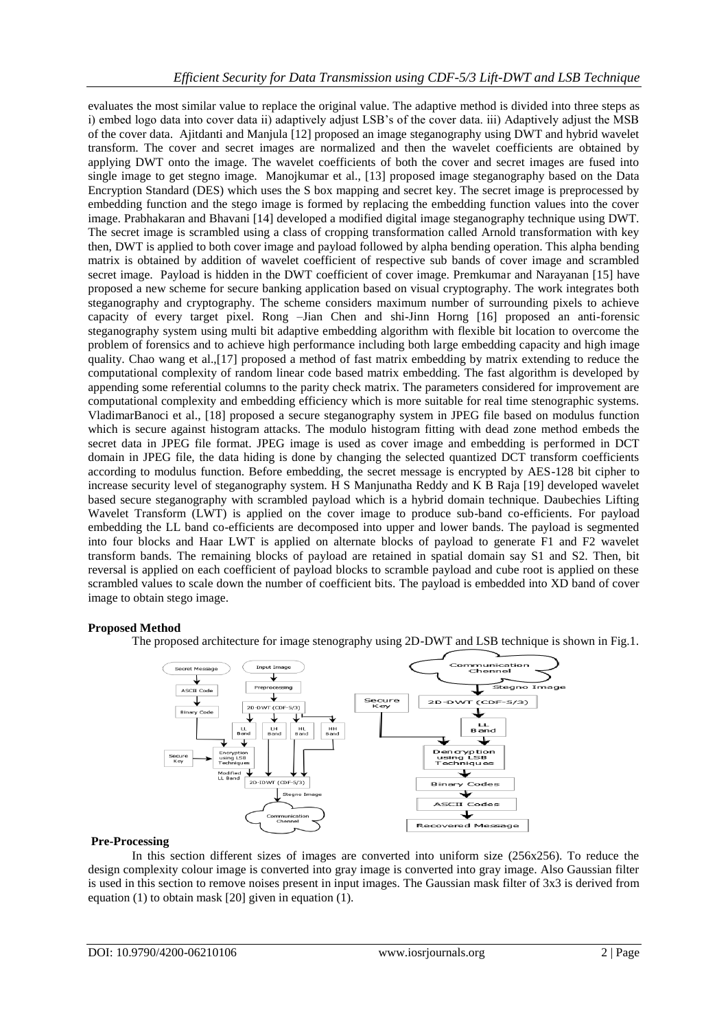evaluates the most similar value to replace the original value. The adaptive method is divided into three steps as i) embed logo data into cover data ii) adaptively adjust LSB's of the cover data. iii) Adaptively adjust the MSB of the cover data. Ajitdanti and Manjula [12] proposed an image steganography using DWT and hybrid wavelet transform. The cover and secret images are normalized and then the wavelet coefficients are obtained by applying DWT onto the image. The wavelet coefficients of both the cover and secret images are fused into single image to get stegno image. Manojkumar et al., [13] proposed image steganography based on the Data Encryption Standard (DES) which uses the S box mapping and secret key. The secret image is preprocessed by embedding function and the stego image is formed by replacing the embedding function values into the cover image. Prabhakaran and Bhavani [14] developed a modified digital image steganography technique using DWT. The secret image is scrambled using a class of cropping transformation called Arnold transformation with key then, DWT is applied to both cover image and payload followed by alpha bending operation. This alpha bending matrix is obtained by addition of wavelet coefficient of respective sub bands of cover image and scrambled secret image. Payload is hidden in the DWT coefficient of cover image. Premkumar and Narayanan [15] have proposed a new scheme for secure banking application based on visual cryptography. The work integrates both steganography and cryptography. The scheme considers maximum number of surrounding pixels to achieve capacity of every target pixel. Rong –Jian Chen and shi-Jinn Horng [16] proposed an anti-forensic steganography system using multi bit adaptive embedding algorithm with flexible bit location to overcome the problem of forensics and to achieve high performance including both large embedding capacity and high image quality. Chao wang et al.,[17] proposed a method of fast matrix embedding by matrix extending to reduce the computational complexity of random linear code based matrix embedding. The fast algorithm is developed by appending some referential columns to the parity check matrix. The parameters considered for improvement are computational complexity and embedding efficiency which is more suitable for real time stenographic systems. VladimarBanoci et al., [18] proposed a secure steganography system in JPEG file based on modulus function which is secure against histogram attacks. The modulo histogram fitting with dead zone method embeds the secret data in JPEG file format. JPEG image is used as cover image and embedding is performed in DCT domain in JPEG file, the data hiding is done by changing the selected quantized DCT transform coefficients according to modulus function. Before embedding, the secret message is encrypted by AES-128 bit cipher to increase security level of steganography system. H S Manjunatha Reddy and K B Raja [19] developed wavelet based secure steganography with scrambled payload which is a hybrid domain technique. Daubechies Lifting Wavelet Transform (LWT) is applied on the cover image to produce sub-band co-efficients. For payload embedding the LL band co-efficients are decomposed into upper and lower bands. The payload is segmented into four blocks and Haar LWT is applied on alternate blocks of payload to generate F1 and F2 wavelet transform bands. The remaining blocks of payload are retained in spatial domain say S1 and S2. Then, bit reversal is applied on each coefficient of payload blocks to scramble payload and cube root is applied on these scrambled values to scale down the number of coefficient bits. The payload is embedded into XD band of cover image to obtain stego image.

#### **Proposed Method**

The proposed architecture for image stenography using 2D-DWT and LSB technique is shown in Fig.1.



#### **Pre-Processing**

In this section different sizes of images are converted into uniform size (256x256). To reduce the design complexity colour image is converted into gray image is converted into gray image. Also Gaussian filter is used in this section to remove noises present in input images. The Gaussian mask filter of 3x3 is derived from equation (1) to obtain mask [20] given in equation (1).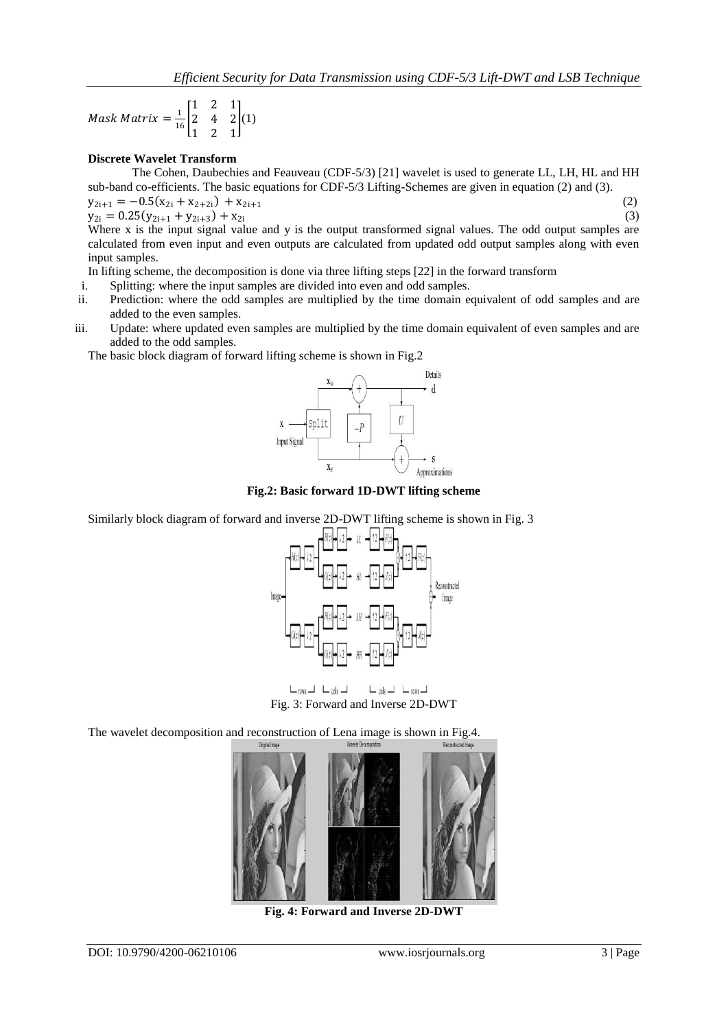Mask Matrix  $=$   $\frac{1}{16}$ 1 2 1 2 4 2 1 2 1  $(1)$ 

## **Discrete Wavelet Transform**

The Cohen, Daubechies and Feauveau (CDF-5/3) [21] wavelet is used to generate LL, LH, HL and HH sub-band co-efficients. The basic equations for CDF-5/3 Lifting-Schemes are given in equation (2) and (3).

$$
y_{2i+1} = -0.5(x_{2i} + x_{2+2i}) + x_{2i+1}
$$

(2)

 $y_{2i} = 0.25(y_{2i+1} + y_{2i+3}) + x_{2i}$  (3) Where x is the input signal value and y is the output transformed signal values. The odd output samples are calculated from even input and even outputs are calculated from updated odd output samples along with even input samples.

In lifting scheme, the decomposition is done via three lifting steps [22] in the forward transform

- i. Splitting: where the input samples are divided into even and odd samples.
- ii. Prediction: where the odd samples are multiplied by the time domain equivalent of odd samples and are added to the even samples.
- iii. Update: where updated even samples are multiplied by the time domain equivalent of even samples and are added to the odd samples.

The basic block diagram of forward lifting scheme is shown in Fig.2



**Fig.2: Basic forward 1D-DWT lifting scheme**

Similarly block diagram of forward and inverse 2D-DWT lifting scheme is shown in Fig. 3



 $L_{\text{rows}} - L_{\text{cols}} L_{cols} = L_{rows}$ Fig. 3: Forward and Inverse 2D-DWT

The wavelet decomposition and reconstruction of Lena image is shown in Fig.4.



**Fig. 4: Forward and Inverse 2D-DWT**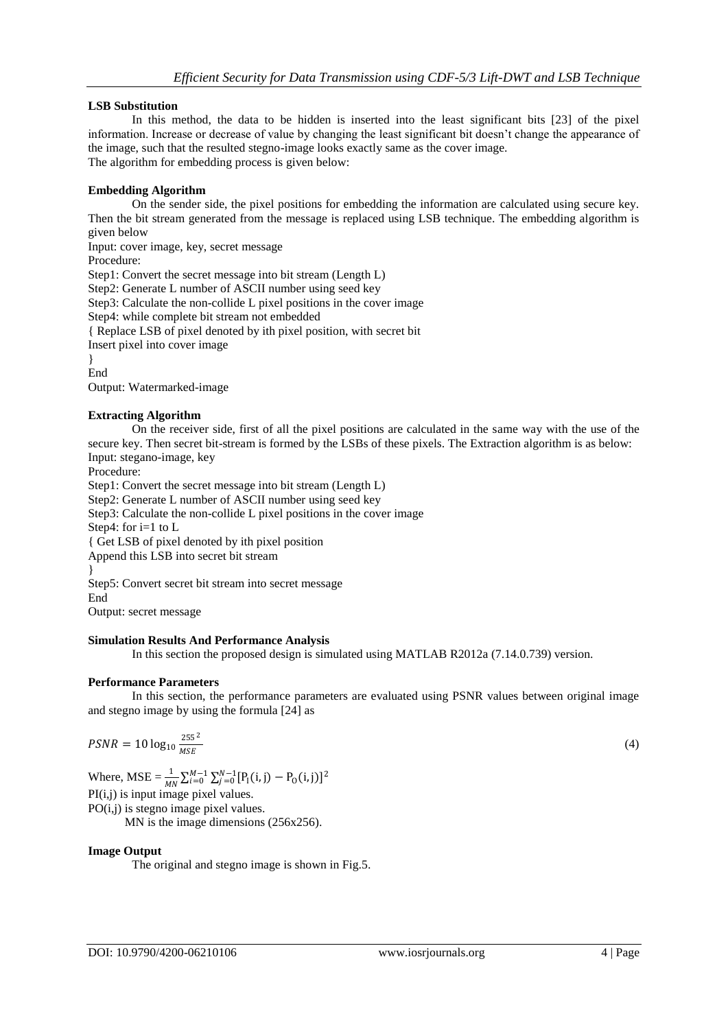## **LSB Substitution**

In this method, the data to be hidden is inserted into the least significant bits [23] of the pixel information. Increase or decrease of value by changing the least significant bit doesn't change the appearance of the image, such that the resulted stegno-image looks exactly same as the cover image. The algorithm for embedding process is given below:

## **Embedding Algorithm**

On the sender side, the pixel positions for embedding the information are calculated using secure key. Then the bit stream generated from the message is replaced using LSB technique. The embedding algorithm is given below

Input: cover image, key, secret message Procedure: Step1: Convert the secret message into bit stream (Length L) Step2: Generate L number of ASCII number using seed key Step3: Calculate the non-collide L pixel positions in the cover image Step4: while complete bit stream not embedded { Replace LSB of pixel denoted by ith pixel position, with secret bit Insert pixel into cover image } End

Output: Watermarked-image

#### **Extracting Algorithm**

On the receiver side, first of all the pixel positions are calculated in the same way with the use of the secure key. Then secret bit-stream is formed by the LSBs of these pixels. The Extraction algorithm is as below: Input: stegano-image, key

Procedure:

Step1: Convert the secret message into bit stream (Length L) Step2: Generate L number of ASCII number using seed key Step3: Calculate the non-collide L pixel positions in the cover image Step4: for i=1 to L { Get LSB of pixel denoted by ith pixel position Append this LSB into secret bit stream } Step5: Convert secret bit stream into secret message End

Output: secret message

#### **Simulation Results And Performance Analysis**

In this section the proposed design is simulated using MATLAB R2012a (7.14.0.739) version.

#### **Performance Parameters**

In this section, the performance parameters are evaluated using PSNR values between original image and stegno image by using the formula [24] as

$$
PSNR = 10\log_{10}\frac{255^2}{MSE} \tag{4}
$$

Where,  $MSE = \frac{1}{MN} \sum_{i=0}^{M-1} \sum_{j=0}^{N-1} [P_1(i, j) - P_0(i, j)]^2$ PI(i,j) is input image pixel values. PO(i,j) is stegno image pixel values.

MN is the image dimensions (256x256).

#### **Image Output**

The original and stegno image is shown in Fig.5.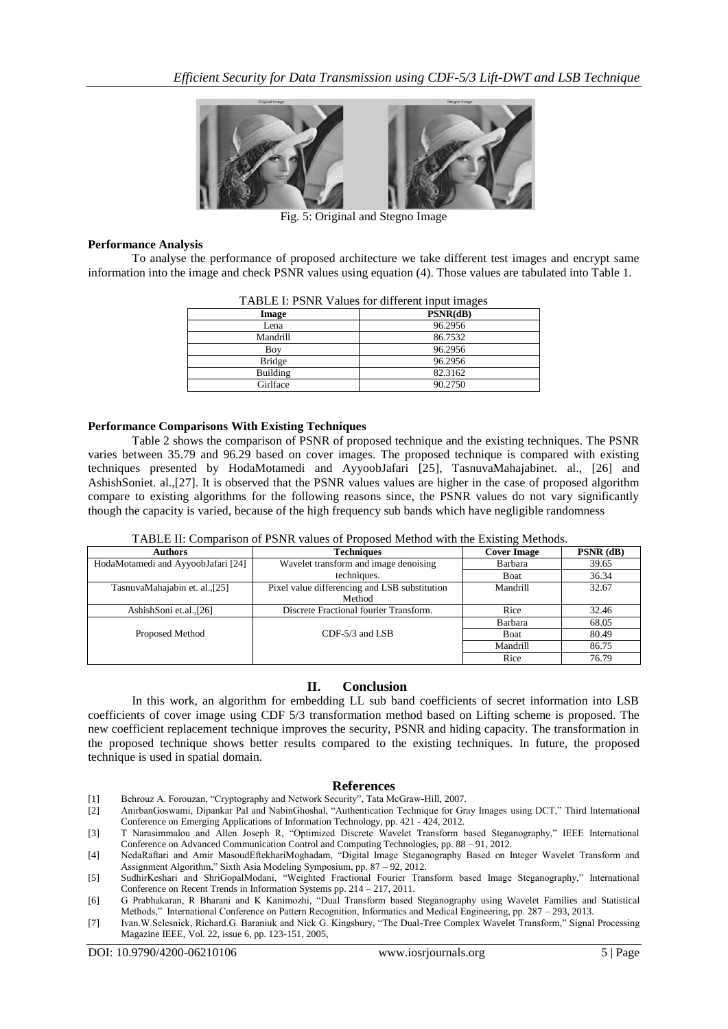

Fig. 5: Original and Stegno Image

## **Performance Analysis**

To analyse the performance of proposed architecture we take different test images and encrypt same information into the image and check PSNR values using equation (4). Those values are tabulated into Table 1.

| TABLE I: PSNR Values for different input images |          |  |
|-------------------------------------------------|----------|--|
| Image                                           | PSNR(dB) |  |
| Lena                                            | 96.2956  |  |
| Mandrill                                        | 86.7532  |  |
| Boy                                             | 96.2956  |  |
| <b>Bridge</b>                                   | 96.2956  |  |
| Building                                        | 82.3162  |  |
| Girlface                                        | 90.2750  |  |

 $TATET$  point  $V1$ 

### **Performance Comparisons With Existing Techniques**

Table 2 shows the comparison of PSNR of proposed technique and the existing techniques. The PSNR varies between 35.79 and 96.29 based on cover images. The proposed technique is compared with existing techniques presented by HodaMotamedi and AyyoobJafari [25], TasnuvaMahajabinet. al., [26] and AshishSoniet. al.,[27]. It is observed that the PSNR values values are higher in the case of proposed algorithm compare to existing algorithms for the following reasons since, the PSNR values do not vary significantly though the capacity is varied, because of the high frequency sub bands which have negligible randomness

|  |  |  | TABLE II: Comparison of PSNR values of Proposed Method with the Existing Methods. |
|--|--|--|-----------------------------------------------------------------------------------|
|--|--|--|-----------------------------------------------------------------------------------|

| <b>Authors</b>                     | <b>Techniques</b>                                       | <b>Cover Image</b> | $PSNR$ (dB) |
|------------------------------------|---------------------------------------------------------|--------------------|-------------|
| HodaMotamedi and AyyoobJafari [24] | Wavelet transform and image denoising                   | Barbara            | 39.65       |
|                                    | techniques.                                             | Boat               | 36.34       |
| TasnuvaMahajabin et. al.,[25]      | Pixel value differencing and LSB substitution<br>Method | Mandrill           | 32.67       |
| AshishSoni et.al.,[26]             | Discrete Fractional fourier Transform.                  | Rice               | 32.46       |
|                                    |                                                         | Barbara            | 68.05       |
| Proposed Method                    | $CDF-5/3$ and $LSB$                                     | Boat               | 80.49       |
|                                    |                                                         | Mandrill           | 86.75       |
|                                    |                                                         | Rice               | 76.79       |

#### **II. Conclusion**

In this work, an algorithm for embedding LL sub band coefficients of secret information into LSB coefficients of cover image using CDF 5/3 transformation method based on Lifting scheme is proposed. The new coefficient replacement technique improves the security, PSNR and hiding capacity. The transformation in the proposed technique shows better results compared to the existing techniques. In future, the proposed technique is used in spatial domain.

#### **References**

- [1] Behrouz A. Forouzan, "Cryptography and Network Security", Tata McGraw-Hill, 2007.
- [2] AnirbanGoswami, Dipankar Pal and NabinGhoshal, "Authentication Technique for Gray Images using DCT," Third International Conference on Emerging Applications of Information Technology, pp. 421 - 424, 2012.
- [3] T Narasimmalou and Allen Joseph R, "Optimized Discrete Wavelet Transform based Steganography," IEEE International Conference on Advanced Communication Control and Computing Technologies, pp. 88 – 91, 2012.

<sup>[4]</sup> NedaRaftari and Amir MasoudEftekhariMoghadam, "Digital Image Steganography Based on Integer Wavelet Transform and Assignment Algorithm," Sixth Asia Modeling Symposium, pp. 87 – 92, 2012.

<sup>[5]</sup> SudhirKeshari and ShriGopalModani, "Weighted Fractional Fourier Transform based Image Steganography," International Conference on Recent Trends in Information Systems pp. 214 – 217, 2011.

<sup>[6]</sup> G Prabhakaran, R Bharani and K Kanimozhi, "Dual Transform based Steganography using Wavelet Families and Statistical Methods," International Conference on Pattern Recognition, Informatics and Medical Engineering, pp. 287 – 293, 2013.

<sup>[7]</sup> Ivan.W.Selesnick, Richard.G. Baraniuk and Nick G. Kingsbury, "The Dual-Tree Complex Wavelet Transform," Signal Processing Magazine IEEE, Vol. 22, issue 6, pp. 123-151, 2005,